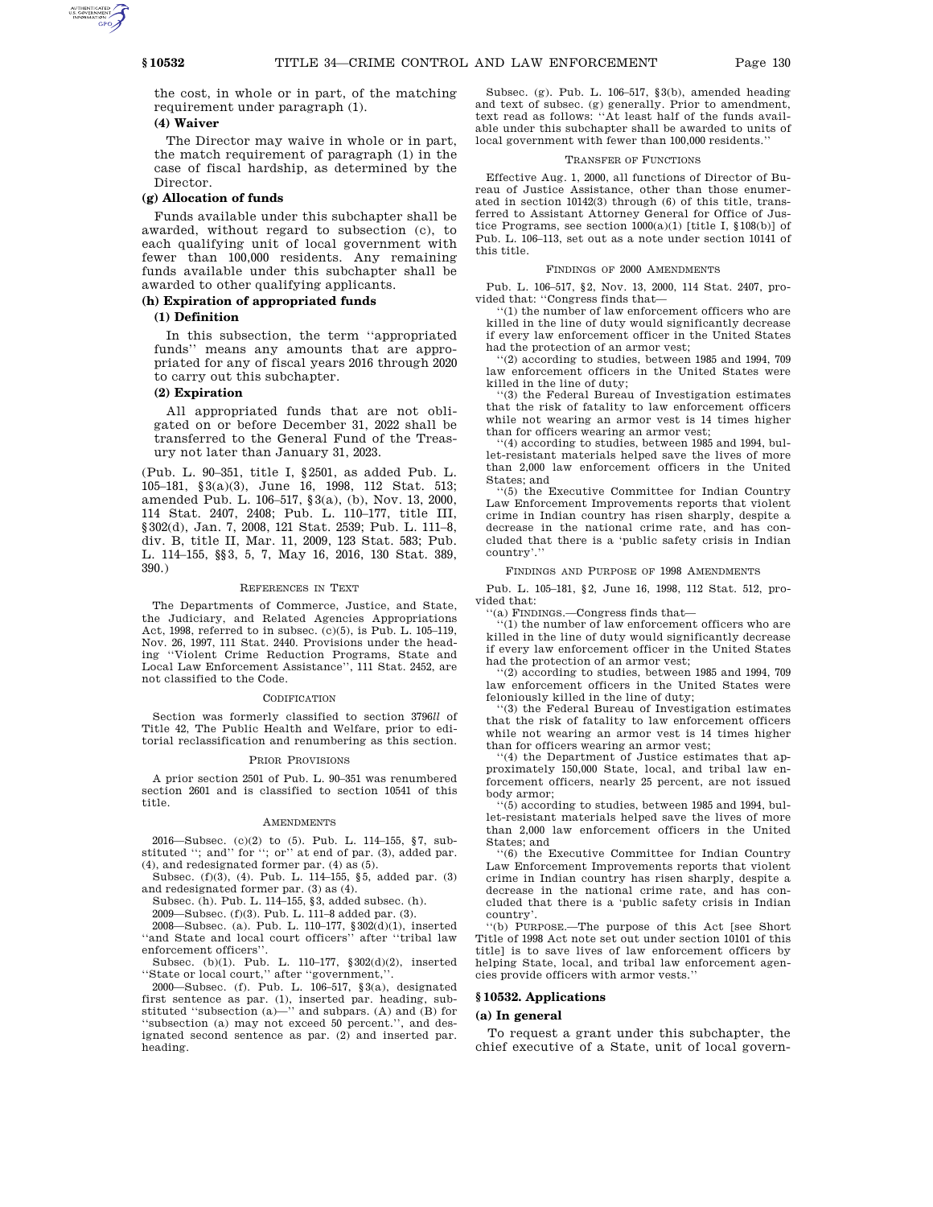the cost, in whole or in part, of the matching requirement under paragraph (1).

# **(4) Waiver**

The Director may waive in whole or in part, the match requirement of paragraph (1) in the case of fiscal hardship, as determined by the Director.

## **(g) Allocation of funds**

Funds available under this subchapter shall be awarded, without regard to subsection (c), to each qualifying unit of local government with fewer than 100,000 residents. Any remaining funds available under this subchapter shall be awarded to other qualifying applicants.

## **(h) Expiration of appropriated funds**

## **(1) Definition**

In this subsection, the term ''appropriated funds'' means any amounts that are appropriated for any of fiscal years 2016 through 2020 to carry out this subchapter.

## **(2) Expiration**

All appropriated funds that are not obligated on or before December 31, 2022 shall be transferred to the General Fund of the Treasury not later than January 31, 2023.

(Pub. L. 90–351, title I, §2501, as added Pub. L. 105–181, §3(a)(3), June 16, 1998, 112 Stat. 513; amended Pub. L. 106–517, §3(a), (b), Nov. 13, 2000, 114 Stat. 2407, 2408; Pub. L. 110–177, title III, §302(d), Jan. 7, 2008, 121 Stat. 2539; Pub. L. 111–8, div. B, title II, Mar. 11, 2009, 123 Stat. 583; Pub. L. 114–155, §§3, 5, 7, May 16, 2016, 130 Stat. 389, 390.)

#### REFERENCES IN TEXT

The Departments of Commerce, Justice, and State, the Judiciary, and Related Agencies Appropriations Act, 1998, referred to in subsec. (c)(5), is Pub. L. 105–119, Nov. 26, 1997, 111 Stat. 2440. Provisions under the heading ''Violent Crime Reduction Programs, State and Local Law Enforcement Assistance'', 111 Stat. 2452, are not classified to the Code.

#### CODIFICATION

Section was formerly classified to section 3796*ll* of Title 42, The Public Health and Welfare, prior to editorial reclassification and renumbering as this section.

## PRIOR PROVISIONS

A prior section 2501 of Pub. L. 90–351 was renumbered section 2601 and is classified to section 10541 of this title.

#### AMENDMENTS

2016—Subsec. (c)(2) to (5). Pub. L. 114–155, §7, sub-stituted ''; and'' for ''; or'' at end of par. (3), added par. (4), and redesignated former par. (4) as (5).

Subsec. (f)(3), (4). Pub. L. 114–155, §5, added par. (3) and redesignated former par. (3) as (4).

Subsec. (h). Pub. L. 114–155, §3, added subsec. (h).

2009—Subsec. (f)(3). Pub. L. 111–8 added par. (3).

2008—Subsec. (a). Pub. L. 110–177, §302(d)(1), inserted "and State and local court officers" after "tribal law enforcement officers''.

Subsec. (b)(1). Pub. L. 110–177, §302(d)(2), inserted

''State or local court,'' after ''government,''. 2000—Subsec. (f). Pub. L. 106–517, §3(a), designated first sentence as par. (1), inserted par. heading, substituted ''subsection (a)—'' and subpars. (A) and (B) for ''subsection (a) may not exceed 50 percent.'', and designated second sentence as par. (2) and inserted par. heading.

Subsec. (g). Pub. L. 106–517, §3(b), amended heading and text of subsec. (g) generally. Prior to amendment, text read as follows: ''At least half of the funds available under this subchapter shall be awarded to units of local government with fewer than 100,000 residents.''

## TRANSFER OF FUNCTIONS

Effective Aug. 1, 2000, all functions of Director of Bureau of Justice Assistance, other than those enumerated in section 10142(3) through (6) of this title, transferred to Assistant Attorney General for Office of Justice Programs, see section  $1000(a)(1)$  [title I, §108(b)] of Pub. L. 106–113, set out as a note under section 10141 of this title.

## FINDINGS OF 2000 AMENDMENTS

Pub. L. 106–517, §2, Nov. 13, 2000, 114 Stat. 2407, provided that: ''Congress finds that—

''(1) the number of law enforcement officers who are killed in the line of duty would significantly decrease if every law enforcement officer in the United States had the protection of an armor vest;

''(2) according to studies, between 1985 and 1994, 709 law enforcement officers in the United States were killed in the line of duty;

'(3) the Federal Bureau of Investigation estimates that the risk of fatality to law enforcement officers while not wearing an armor vest is 14 times higher than for officers wearing an armor vest;

'(4) according to studies, between 1985 and 1994, bullet-resistant materials helped save the lives of more than 2,000 law enforcement officers in the United States; and

''(5) the Executive Committee for Indian Country Law Enforcement Improvements reports that violent crime in Indian country has risen sharply, despite a decrease in the national crime rate, and has concluded that there is a 'public safety crisis in Indian country'.''

## FINDINGS AND PURPOSE OF 1998 AMENDMENTS

Pub. L. 105–181, §2, June 16, 1998, 112 Stat. 512, provided that:

''(a) FINDINGS.—Congress finds that—

''(1) the number of law enforcement officers who are killed in the line of duty would significantly decrease if every law enforcement officer in the United States had the protection of an armor vest;

''(2) according to studies, between 1985 and 1994, 709 law enforcement officers in the United States were feloniously killed in the line of duty;

''(3) the Federal Bureau of Investigation estimates that the risk of fatality to law enforcement officers while not wearing an armor vest is 14 times higher than for officers wearing an armor vest;

 $'(4)$  the Department of Justice estimates that approximately 150,000 State, local, and tribal law enforcement officers, nearly 25 percent, are not issued body armor;

 $(5)$  according to studies, between 1985 and 1994, bullet-resistant materials helped save the lives of more than 2,000 law enforcement officers in the United States; and

''(6) the Executive Committee for Indian Country Law Enforcement Improvements reports that violent crime in Indian country has risen sharply, despite a decrease in the national crime rate, and has concluded that there is a 'public safety crisis in Indian country'.

''(b) PURPOSE.—The purpose of this Act [see Short Title of 1998 Act note set out under section 10101 of this title] is to save lives of law enforcement officers by helping State, local, and tribal law enforcement agencies provide officers with armor vests.''

## **§ 10532. Applications**

#### **(a) In general**

To request a grant under this subchapter, the chief executive of a State, unit of local govern-